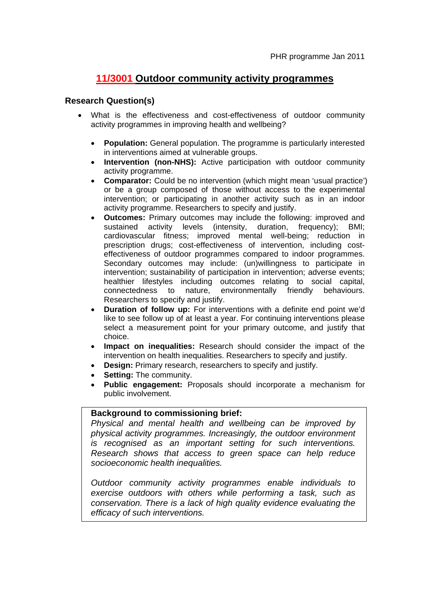## **11/3001 Outdoor community activity programmes**

## **Research Question(s)**

- What is the effectiveness and cost-effectiveness of outdoor community activity programmes in improving health and wellbeing?
	- **Population:** General population. The programme is particularly interested in interventions aimed at vulnerable groups.
	- **Intervention (non-NHS):** Active participation with outdoor community activity programme.
	- **Comparator:** Could be no intervention (which might mean 'usual practice') or be a group composed of those without access to the experimental intervention; or participating in another activity such as in an indoor activity programme. Researchers to specify and justify.
	- **Outcomes:** Primary outcomes may include the following: improved and sustained activity levels (intensity, duration, frequency); BMI; cardiovascular fitness; improved mental well-being; reduction in prescription drugs; cost-effectiveness of intervention, including costeffectiveness of outdoor programmes compared to indoor programmes. Secondary outcomes may include: (un)willingness to participate in intervention; sustainability of participation in intervention; adverse events; healthier lifestyles including outcomes relating to social capital, connectedness to nature, environmentally friendly behaviours. Researchers to specify and justify.
	- **Duration of follow up:** For interventions with a definite end point we'd like to see follow up of at least a year. For continuing interventions please select a measurement point for your primary outcome, and justify that choice.
	- **Impact on inequalities:** Research should consider the impact of the intervention on health inequalities. Researchers to specify and justify.
	- **Design:** Primary research, researchers to specify and justify.
	- **Setting: The community.**
	- **Public engagement:** Proposals should incorporate a mechanism for public involvement.

## **Background to commissioning brief:**

*Physical and mental health and wellbeing can be improved by physical activity programmes. Increasingly, the outdoor environment is recognised as an important setting for such interventions. Research shows that access to green space can help reduce socioeconomic health inequalities.* 

*Outdoor community activity programmes enable individuals to exercise outdoors with others while performing a task, such as conservation. There is a lack of high quality evidence evaluating the efficacy of such interventions.*